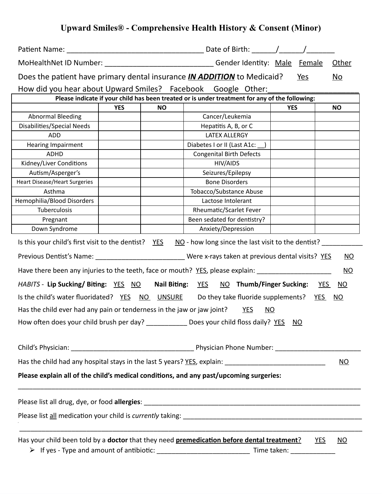# **Upward Smiles® - Comprehensive Health History & Consent (Minor)**

| Patient Name:                                                          |            |                  |                                                                                                       |                         |            |                           |
|------------------------------------------------------------------------|------------|------------------|-------------------------------------------------------------------------------------------------------|-------------------------|------------|---------------------------|
|                                                                        |            |                  | MoHealthNet ID Number: ________________________________Gender Identity: Male Female                   |                         |            | <b>Other</b>              |
|                                                                        |            |                  | Does the patient have primary dental insurance <i>IN ADDITION</i> to Medicaid?                        | Yes                     |            | No.                       |
|                                                                        |            |                  | How did you hear about Upward Smiles? Facebook Google Other:                                          |                         |            |                           |
|                                                                        |            |                  | Please indicate if your child has been treated or is under treatment for any of the following:        |                         |            |                           |
|                                                                        | <b>YES</b> | <b>NO</b>        |                                                                                                       | <b>YES</b>              |            | <b>NO</b>                 |
| <b>Abnormal Bleeding</b>                                               |            |                  | Cancer/Leukemia                                                                                       |                         |            |                           |
| Disabilities/Special Needs                                             |            |                  | Hepatitis A, B, or C                                                                                  |                         |            |                           |
| <b>ADD</b>                                                             |            |                  | <b>LATEX ALLERGY</b>                                                                                  |                         |            |                           |
| <b>Hearing Impairment</b>                                              |            |                  | Diabetes I or II (Last A1c: )                                                                         |                         |            |                           |
| ADHD                                                                   |            |                  | <b>Congenital Birth Defects</b>                                                                       |                         |            |                           |
| Kidney/Liver Conditions                                                |            |                  | HIV/AIDS                                                                                              |                         |            |                           |
| Autism/Asperger's                                                      |            |                  | Seizures/Epilepsy                                                                                     |                         |            |                           |
| <b>Heart Disease/Heart Surgeries</b>                                   |            |                  | <b>Bone Disorders</b>                                                                                 |                         |            |                           |
| Asthma                                                                 |            |                  | Tobacco/Substance Abuse                                                                               |                         |            |                           |
| Hemophilia/Blood Disorders                                             |            |                  | Lactose Intolerant                                                                                    |                         |            |                           |
| Tuberculosis                                                           |            |                  | <b>Rheumatic/Scarlet Fever</b>                                                                        |                         |            |                           |
| Pregnant                                                               |            |                  | Been sedated for dentistry?                                                                           |                         |            |                           |
| Down Syndrome                                                          |            |                  | Anxiety/Depression                                                                                    |                         |            |                           |
| Is this your child's first visit to the dentist? $YES$                 |            |                  | NO - how long since the last visit to the dentist?                                                    |                         |            |                           |
|                                                                        |            |                  | Previous Dentist's Name: ____________________________Were x-rays taken at previous dental visits? YES |                         |            | NO                        |
|                                                                        |            |                  | Have there been any injuries to the teeth, face or mouth? YES, please explain: ___________            |                         |            | NO                        |
| HABITS - Lip Sucking/ Biting: YES NO                                   |            | Nail Biting: YES | NO Thumb/Finger Sucking:                                                                              |                         | <b>YES</b> | <u>NO</u>                 |
|                                                                        |            |                  | Is the child's water fluoridated? YES NO UNSURE Do they take fluoride supplements?                    |                         | <u>YES</u> | <u>NO</u>                 |
| Has the child ever had any pain or tenderness in the jaw or jaw joint? |            |                  | <b>YES</b><br><u>NO</u>                                                                               |                         |            |                           |
|                                                                        |            |                  | How often does your child brush per day? ____________ Does your child floss daily? YES NO             |                         |            |                           |
|                                                                        |            |                  |                                                                                                       |                         |            |                           |
|                                                                        |            |                  |                                                                                                       |                         |            |                           |
|                                                                        |            |                  |                                                                                                       |                         |            | $\underline{\mathsf{NO}}$ |
|                                                                        |            |                  | Please explain all of the child's medical conditions, and any past/upcoming surgeries:                |                         |            |                           |
|                                                                        |            |                  |                                                                                                       |                         |            |                           |
|                                                                        |            |                  |                                                                                                       |                         |            |                           |
|                                                                        |            |                  |                                                                                                       |                         |            |                           |
|                                                                        |            |                  | Has your child been told by a doctor that they need premedication before dental treatment?            |                         | <b>YES</b> | <u>NO</u>                 |
|                                                                        |            |                  |                                                                                                       | Time taken: Time taken: |            |                           |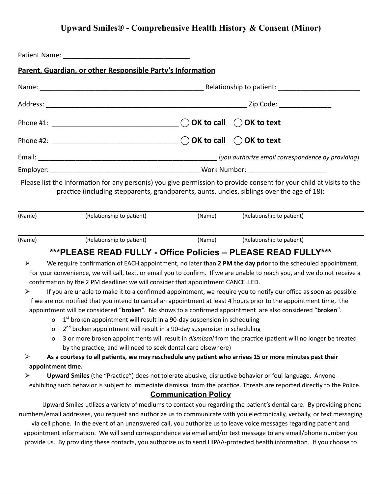## **Upward Smiles® - Comprehensive Health History & Consent (Minor)**

|        | Parent, Guardian, or other Responsible Party's Information                                                                                                                                                                                                                                                                                                                                                                                       |        |                           |
|--------|--------------------------------------------------------------------------------------------------------------------------------------------------------------------------------------------------------------------------------------------------------------------------------------------------------------------------------------------------------------------------------------------------------------------------------------------------|--------|---------------------------|
|        |                                                                                                                                                                                                                                                                                                                                                                                                                                                  |        |                           |
|        |                                                                                                                                                                                                                                                                                                                                                                                                                                                  |        |                           |
|        |                                                                                                                                                                                                                                                                                                                                                                                                                                                  |        |                           |
|        |                                                                                                                                                                                                                                                                                                                                                                                                                                                  |        |                           |
|        |                                                                                                                                                                                                                                                                                                                                                                                                                                                  |        |                           |
|        |                                                                                                                                                                                                                                                                                                                                                                                                                                                  |        |                           |
|        | Please list the information for any person(s) you give permission to provide consent for your child at visits to the<br>practice (including stepparents, grandparents, aunts, uncles, siblings over the age of 18):                                                                                                                                                                                                                              |        |                           |
| (Name) | (Relationship to patient)                                                                                                                                                                                                                                                                                                                                                                                                                        | (Name) | (Relationship to patient) |
| (Name) | (Relationship to patient)                                                                                                                                                                                                                                                                                                                                                                                                                        | (Name) | (Relationship to patient) |
|        | ***PLEASE READ FULLY - Office Policies - PLEASE READ FULLY***                                                                                                                                                                                                                                                                                                                                                                                    |        |                           |
| ➤<br>➤ | We require confirmation of EACH appointment, no later than 2 PM the day prior to the scheduled appointment.<br>For your convenience, we will call, text, or email you to confirm. If we are unable to reach you, and we do not receive a<br>confirmation by the 2 PM deadline: we will consider that appointment CANCELLED.<br>If you are unable to make it to a confirmed appointment, we require you to notify our office as soon as possible. |        |                           |

If we are not notified that you intend to cancel an appointment at least 4 hours prior to the appointment time, the appointment will be considered "**broken**". No shows to a confirmed appointment are also considered "**broken**".

- $o$  1<sup>st</sup> broken appointment will result in a 90-day suspension in scheduling
- $o$   $2^{nd}$  broken appointment will result in a 90-day suspension in scheduling
- o 3 or more broken appointments will result in *dismissal* from the practice (patient will no longer be treated by the practice, and will need to seek dental care elsewhere)

> As a courtesy to all patients, we may reschedule any patient who arrives 15 or more minutes past their **appointment time.**

⮚ **Upward Smiles** (the "Practice") does not tolerate abusive, disruptive behavior or foul language. Anyone exhibiting such behavior is subject to immediate dismissal from the practice. Threats are reported directly to the Police.

#### **Communication Policy**

Upward Smiles utilizes a variety of mediums to contact you regarding the patient's dental care. By providing phone numbers/email addresses, you request and authorize us to communicate with you electronically, verbally, or text messaging via cell phone. In the event of an unanswered call, you authorize us to leave voice messages regarding patient and appointment information. We will send correspondence via email and/or text message to any email/phone number you provide us. By providing these contacts, you authorize us to send HIPAA-protected health information. If you choose to